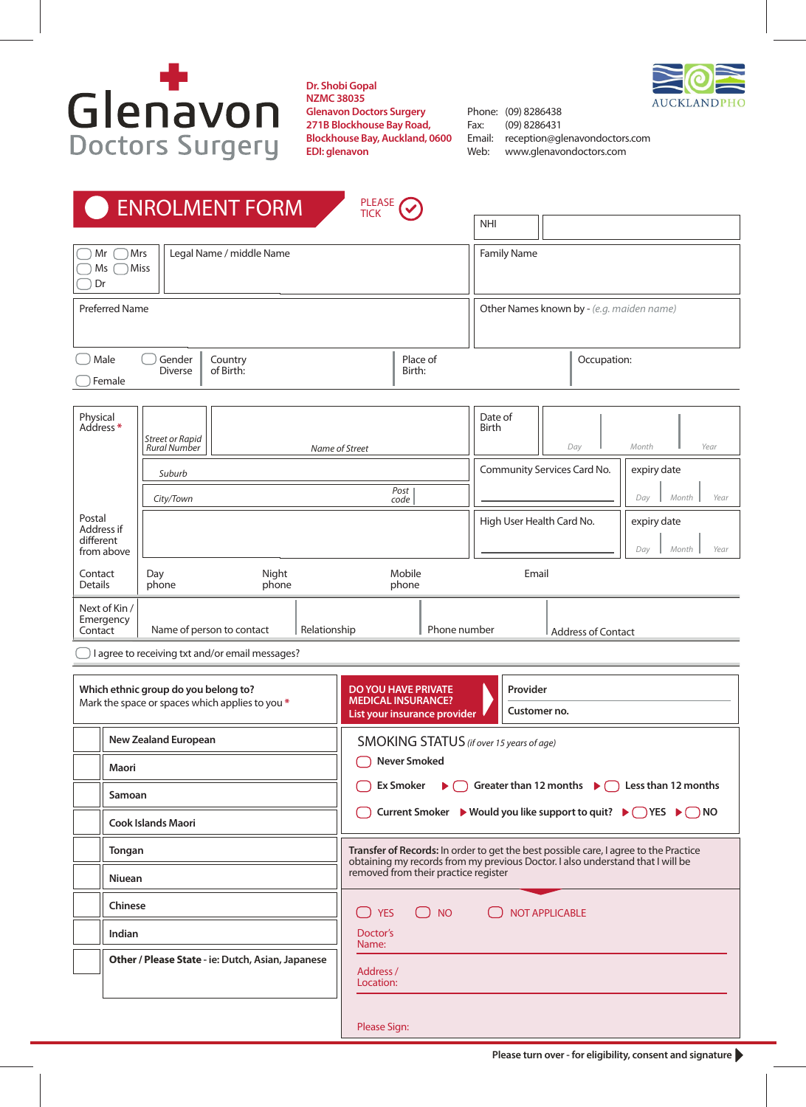

**Dr. Shobi Gopal NZMC 38035 Glenavon Doctors Surgery 271B Blockhouse Bay Road, Blockhouse Bay, Auckland, 0600 EDI: glenavon**



Phone: (09) 8286438 Fax: (09) 8286431 Email: reception@glenavondoctors.com<br>Web: www.glenavondoctors.com Web: www.glenavondoctors.com

|                       |                                 | <b>ENROLMENT FORM</b>    | PLEASE <b>V</b><br><b>TICK</b> |                           |                                           |                                     |
|-----------------------|---------------------------------|--------------------------|--------------------------------|---------------------------|-------------------------------------------|-------------------------------------|
|                       |                                 |                          |                                | <b>NHI</b>                |                                           |                                     |
| Mr<br>Ms<br>Dr        | Mrs<br><b>Miss</b>              | Legal Name / middle Name |                                | <b>Family Name</b>        |                                           |                                     |
| <b>Preferred Name</b> |                                 |                          |                                |                           | Other Names known by - (e.g. maiden name) |                                     |
| Male<br>Female        | Gender<br><b>Diverse</b>        | Country<br>of Birth:     | Place of<br>Birth:             |                           | Occupation:                               |                                     |
| Physical<br>Address*  | Street or Rapid<br>Rural Number | Name of Street           |                                | Date of<br>Birth          | Day                                       | Year<br>Month                       |
|                       | Suburb<br>City/Town             |                          | Post<br>code                   |                           | Community Services Card No.               | expiry date<br>Year<br>Month<br>Day |
| Postal<br>Address if  |                                 |                          |                                | High User Health Card No. |                                           | expiry date<br>a ka                 |

| different<br>from above               |                           |                |                 |                           | Year<br>Month<br>Dav |
|---------------------------------------|---------------------------|----------------|-----------------|---------------------------|----------------------|
| Contact<br><b>Details</b>             | Day<br>phone              | Night<br>phone | Mobile<br>phone | Email                     |                      |
| Next of Kin /<br>Emergency<br>Contact | Name of person to contact | Relationship   | Phone number    | <b>Address of Contact</b> |                      |

 $\Box$  I agree to receiving txt and/or email messages?

| Which ethnic group do you belong to?<br>Mark the space or spaces which applies to you * |                                                                             | <b>DO YOU HAVE PRIVATE</b><br>Provider<br><b>MEDICAL INSURANCE?</b><br>Customer no.<br>List your insurance provider                                                                                                                                                   |  |  |
|-----------------------------------------------------------------------------------------|-----------------------------------------------------------------------------|-----------------------------------------------------------------------------------------------------------------------------------------------------------------------------------------------------------------------------------------------------------------------|--|--|
|                                                                                         | <b>New Zealand European</b><br>Maori<br>Samoan<br><b>Cook Islands Maori</b> | SMOKING STATUS (if over 15 years of age)<br><b>Never Smoked</b><br>$\triangleright$ $\bigcirc$ Greater than 12 months $\triangleright$ $\bigcirc$ Less than 12 months<br>Ex Smoker<br>Current Smoker ► Would you like support to quit? ► $\bigcap$ YES ► $\bigcap$ NO |  |  |
|                                                                                         | Tongan<br><b>Niuean</b>                                                     | Transfer of Records: In order to get the best possible care, I agree to the Practice<br>obtaining my records from my previous Doctor. I also understand that I will be<br>removed from their practice register                                                        |  |  |
|                                                                                         | Chinese<br>Indian<br>Other / Please State - ie: Dutch, Asian, Japanese      | <b>YES</b><br><b>NO</b><br><b>NOT APPLICABLE</b><br>$\begin{array}{c} \square \end{array}$<br>$\begin{pmatrix} 1 & 1 \\ 1 & 1 \end{pmatrix}$<br>Doctor's<br>Name:                                                                                                     |  |  |
|                                                                                         |                                                                             | Address /<br>Location:<br>Please Sign:                                                                                                                                                                                                                                |  |  |